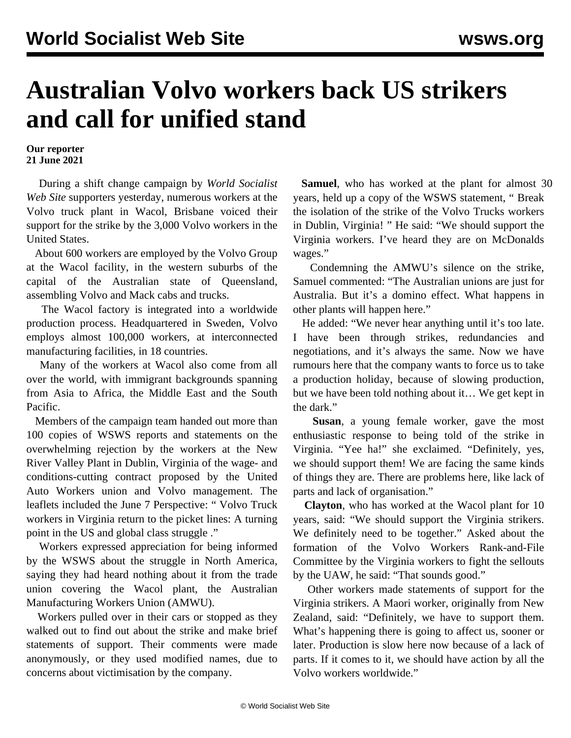## **Australian Volvo workers back US strikers and call for unified stand**

## **Our reporter 21 June 2021**

 During a shift change campaign by *World Socialist Web Site* supporters yesterday, numerous workers at the Volvo truck plant in Wacol, Brisbane voiced their support for the strike by the 3,000 Volvo workers in the United States.

 About 600 workers are employed by the Volvo Group at the Wacol facility, in the western suburbs of the capital of the Australian state of Queensland, assembling Volvo and Mack cabs and trucks.

 The Wacol factory is integrated into a worldwide production process. Headquartered in Sweden, Volvo employs almost 100,000 workers, at interconnected manufacturing facilities, in 18 countries.

 Many of the workers at Wacol also come from all over the world, with immigrant backgrounds spanning from Asia to Africa, the Middle East and the South Pacific.

 Members of the campaign team handed out more than 100 copies of WSWS reports and statements on the overwhelming rejection by the workers at the New River Valley Plant in Dublin, Virginia of the wage- and conditions-cutting contract proposed by the United Auto Workers union and Volvo management. The leaflets included the June 7 Perspective: " [Volvo Truck](/en/articles/2021/06/08/pers-j08.html) [workers in Virginia return to the picket lines: A turning](/en/articles/2021/06/08/pers-j08.html) [point in the US and global class struggle](/en/articles/2021/06/08/pers-j08.html) ."

 Workers expressed appreciation for being informed by the WSWS about the struggle in North America, saying they had heard nothing about it from the trade union covering the Wacol plant, the Australian Manufacturing Workers Union (AMWU).

 Workers pulled over in their cars or stopped as they walked out to find out about the strike and make brief statements of support. Their comments were made anonymously, or they used modified names, due to concerns about victimisation by the company.

 **Samuel**, who has worked at the plant for almost 30 years, held up a copy of the WSWS statement, " [Break](/en/articles/2021/06/18/pers-j18.html) [the isolation of the strike of the Volvo Trucks workers](/en/articles/2021/06/18/pers-j18.html) [in Dublin, Virginia!](/en/articles/2021/06/18/pers-j18.html) " He said: "We should support the Virginia workers. I've heard they are on McDonalds wages."

 Condemning the AMWU's silence on the strike, Samuel commented: "The Australian unions are just for Australia. But it's a domino effect. What happens in other plants will happen here."

 He added: "We never hear anything until it's too late. I have been through strikes, redundancies and negotiations, and it's always the same. Now we have rumours here that the company wants to force us to take a production holiday, because of slowing production, but we have been told nothing about it… We get kept in the dark."

 **Susan**, a young female worker, gave the most enthusiastic response to being told of the strike in Virginia. "Yee ha!" she exclaimed. "Definitely, yes, we should support them! We are facing the same kinds of things they are. There are problems here, like lack of parts and lack of organisation."

 **Clayton**, who has worked at the Wacol plant for 10 years, said: "We should support the Virginia strikers. We definitely need to be together." Asked about the formation of the Volvo Workers Rank-and-File Committee by the Virginia workers to fight the sellouts by the UAW, he said: "That sounds good."

 Other workers made statements of support for the Virginia strikers. A Maori worker, originally from New Zealand, said: "Definitely, we have to support them. What's happening there is going to affect us, sooner or later. Production is slow here now because of a lack of parts. If it comes to it, we should have action by all the Volvo workers worldwide."